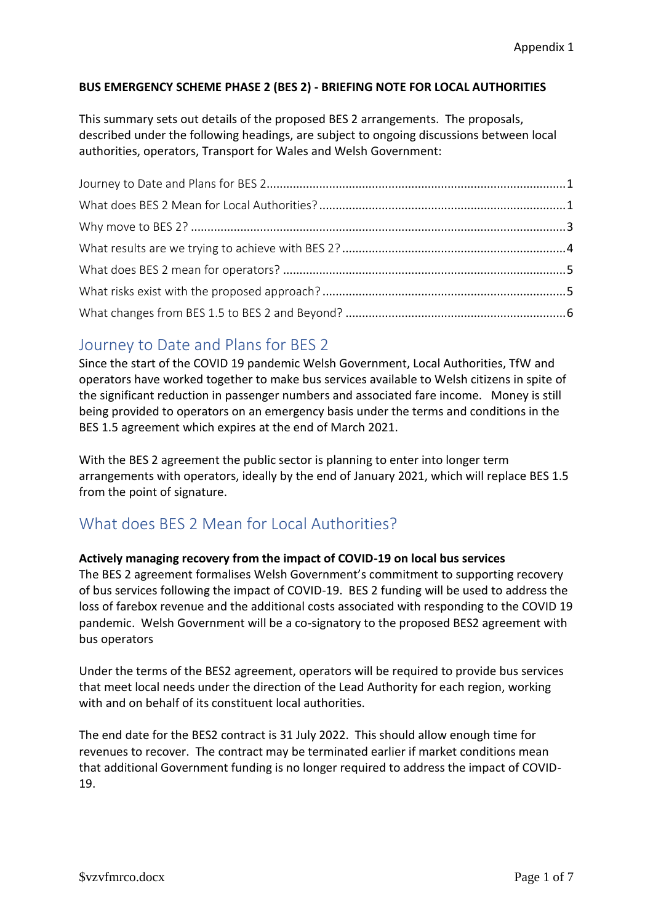#### **BUS EMERGENCY SCHEME PHASE 2 (BES 2) - BRIEFING NOTE FOR LOCAL AUTHORITIES**

This summary sets out details of the proposed BES 2 arrangements. The proposals, described under the following headings, are subject to ongoing discussions between local authorities, operators, Transport for Wales and Welsh Government:

## <span id="page-0-0"></span>Journey to Date and Plans for BES 2

Since the start of the COVID 19 pandemic Welsh Government, Local Authorities, TfW and operators have worked together to make bus services available to Welsh citizens in spite of the significant reduction in passenger numbers and associated fare income. Money is still being provided to operators on an emergency basis under the terms and conditions in the BES 1.5 agreement which expires at the end of March 2021.

With the BES 2 agreement the public sector is planning to enter into longer term arrangements with operators, ideally by the end of January 2021, which will replace BES 1.5 from the point of signature.

## <span id="page-0-1"></span>What does BES 2 Mean for Local Authorities?

#### **Actively managing recovery from the impact of COVID-19 on local bus services**

The BES 2 agreement formalises Welsh Government's commitment to supporting recovery of bus services following the impact of COVID-19. BES 2 funding will be used to address the loss of farebox revenue and the additional costs associated with responding to the COVID 19 pandemic. Welsh Government will be a co-signatory to the proposed BES2 agreement with bus operators

Under the terms of the BES2 agreement, operators will be required to provide bus services that meet local needs under the direction of the Lead Authority for each region, working with and on behalf of its constituent local authorities.

The end date for the BES2 contract is 31 July 2022. This should allow enough time for revenues to recover. The contract may be terminated earlier if market conditions mean that additional Government funding is no longer required to address the impact of COVID-19.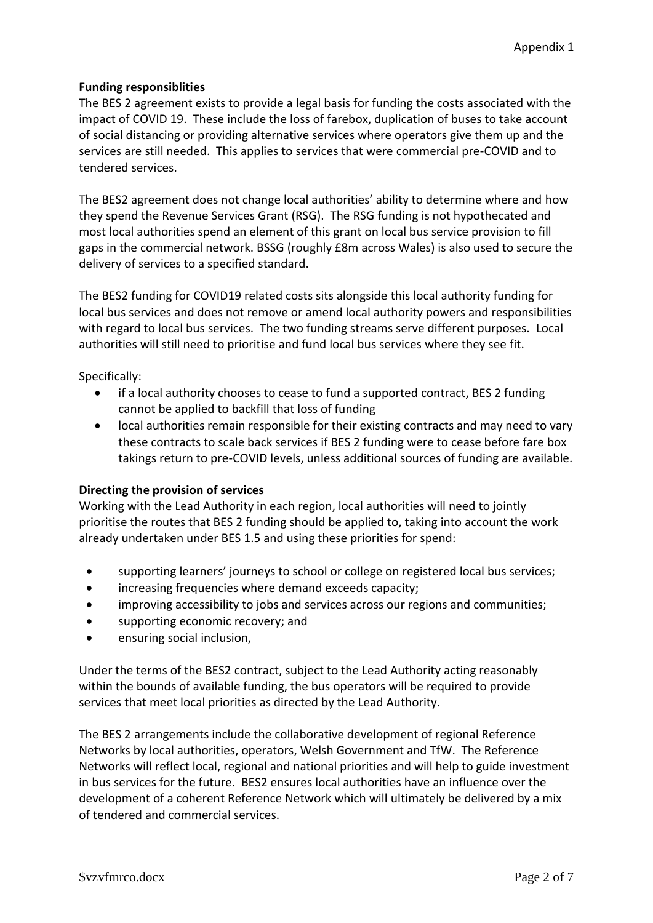#### **Funding responsiblities**

The BES 2 agreement exists to provide a legal basis for funding the costs associated with the impact of COVID 19. These include the loss of farebox, duplication of buses to take account of social distancing or providing alternative services where operators give them up and the services are still needed. This applies to services that were commercial pre-COVID and to tendered services.

The BES2 agreement does not change local authorities' ability to determine where and how they spend the Revenue Services Grant (RSG). The RSG funding is not hypothecated and most local authorities spend an element of this grant on local bus service provision to fill gaps in the commercial network. BSSG (roughly £8m across Wales) is also used to secure the delivery of services to a specified standard.

The BES2 funding for COVID19 related costs sits alongside this local authority funding for local bus services and does not remove or amend local authority powers and responsibilities with regard to local bus services. The two funding streams serve different purposes. Local authorities will still need to prioritise and fund local bus services where they see fit.

Specifically:

- if a local authority chooses to cease to fund a supported contract, BES 2 funding cannot be applied to backfill that loss of funding
- local authorities remain responsible for their existing contracts and may need to vary these contracts to scale back services if BES 2 funding were to cease before fare box takings return to pre-COVID levels, unless additional sources of funding are available.

#### **Directing the provision of services**

Working with the Lead Authority in each region, local authorities will need to jointly prioritise the routes that BES 2 funding should be applied to, taking into account the work already undertaken under BES 1.5 and using these priorities for spend:

- supporting learners' journeys to school or college on registered local bus services;
- increasing frequencies where demand exceeds capacity;
- improving accessibility to jobs and services across our regions and communities;
- supporting economic recovery; and
- **•** ensuring social inclusion,

Under the terms of the BES2 contract, subject to the Lead Authority acting reasonably within the bounds of available funding, the bus operators will be required to provide services that meet local priorities as directed by the Lead Authority.

The BES 2 arrangements include the collaborative development of regional Reference Networks by local authorities, operators, Welsh Government and TfW. The Reference Networks will reflect local, regional and national priorities and will help to guide investment in bus services for the future. BES2 ensures local authorities have an influence over the development of a coherent Reference Network which will ultimately be delivered by a mix of tendered and commercial services.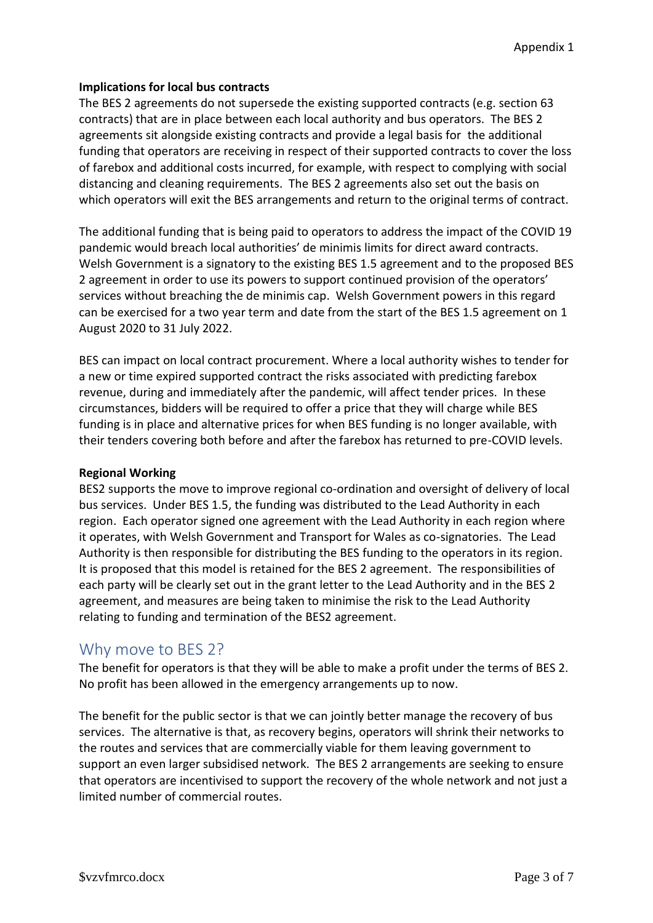#### **Implications for local bus contracts**

The BES 2 agreements do not supersede the existing supported contracts (e.g. section 63 contracts) that are in place between each local authority and bus operators. The BES 2 agreements sit alongside existing contracts and provide a legal basis for the additional funding that operators are receiving in respect of their supported contracts to cover the loss of farebox and additional costs incurred, for example, with respect to complying with social distancing and cleaning requirements. The BES 2 agreements also set out the basis on which operators will exit the BES arrangements and return to the original terms of contract.

The additional funding that is being paid to operators to address the impact of the COVID 19 pandemic would breach local authorities' de minimis limits for direct award contracts. Welsh Government is a signatory to the existing BES 1.5 agreement and to the proposed BES 2 agreement in order to use its powers to support continued provision of the operators' services without breaching the de minimis cap. Welsh Government powers in this regard can be exercised for a two year term and date from the start of the BES 1.5 agreement on 1 August 2020 to 31 July 2022.

BES can impact on local contract procurement. Where a local authority wishes to tender for a new or time expired supported contract the risks associated with predicting farebox revenue, during and immediately after the pandemic, will affect tender prices. In these circumstances, bidders will be required to offer a price that they will charge while BES funding is in place and alternative prices for when BES funding is no longer available, with their tenders covering both before and after the farebox has returned to pre-COVID levels.

#### **Regional Working**

BES2 supports the move to improve regional co-ordination and oversight of delivery of local bus services. Under BES 1.5, the funding was distributed to the Lead Authority in each region. Each operator signed one agreement with the Lead Authority in each region where it operates, with Welsh Government and Transport for Wales as co-signatories. The Lead Authority is then responsible for distributing the BES funding to the operators in its region. It is proposed that this model is retained for the BES 2 agreement. The responsibilities of each party will be clearly set out in the grant letter to the Lead Authority and in the BES 2 agreement, and measures are being taken to minimise the risk to the Lead Authority relating to funding and termination of the BES2 agreement.

### <span id="page-2-0"></span>Why move to BES 2?

The benefit for operators is that they will be able to make a profit under the terms of BES 2. No profit has been allowed in the emergency arrangements up to now.

The benefit for the public sector is that we can jointly better manage the recovery of bus services. The alternative is that, as recovery begins, operators will shrink their networks to the routes and services that are commercially viable for them leaving government to support an even larger subsidised network. The BES 2 arrangements are seeking to ensure that operators are incentivised to support the recovery of the whole network and not just a limited number of commercial routes.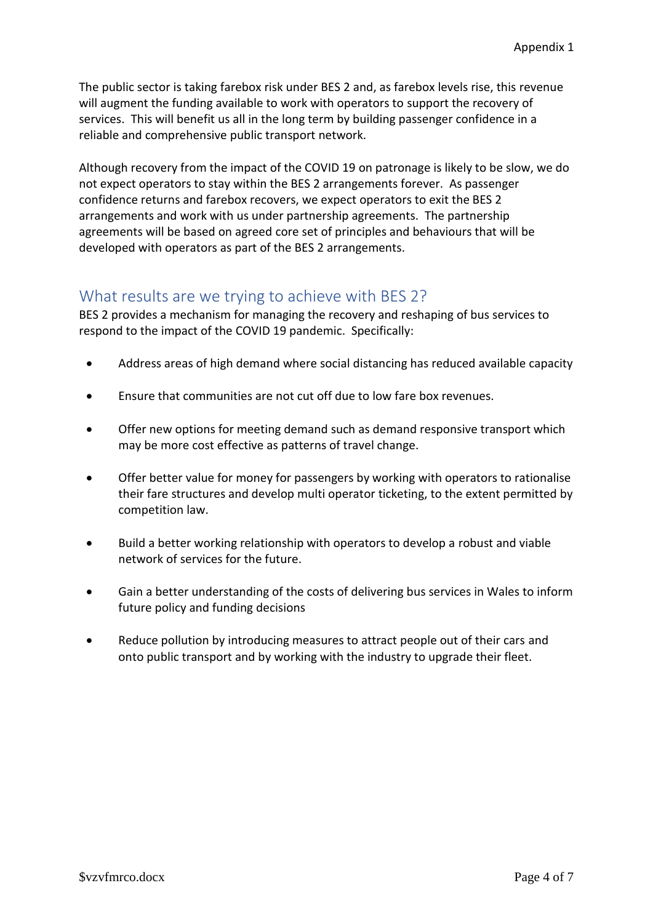The public sector is taking farebox risk under BES 2 and, as farebox levels rise, this revenue will augment the funding available to work with operators to support the recovery of services. This will benefit us all in the long term by building passenger confidence in a reliable and comprehensive public transport network.

Although recovery from the impact of the COVID 19 on patronage is likely to be slow, we do not expect operators to stay within the BES 2 arrangements forever. As passenger confidence returns and farebox recovers, we expect operators to exit the BES 2 arrangements and work with us under partnership agreements. The partnership agreements will be based on agreed core set of principles and behaviours that will be developed with operators as part of the BES 2 arrangements.

## <span id="page-3-0"></span>What results are we trying to achieve with BES 2?

BES 2 provides a mechanism for managing the recovery and reshaping of bus services to respond to the impact of the COVID 19 pandemic. Specifically:

- Address areas of high demand where social distancing has reduced available capacity
- Ensure that communities are not cut off due to low fare box revenues.
- Offer new options for meeting demand such as demand responsive transport which may be more cost effective as patterns of travel change.
- Offer better value for money for passengers by working with operators to rationalise their fare structures and develop multi operator ticketing, to the extent permitted by competition law.
- Build a better working relationship with operators to develop a robust and viable network of services for the future.
- Gain a better understanding of the costs of delivering bus services in Wales to inform future policy and funding decisions
- Reduce pollution by introducing measures to attract people out of their cars and onto public transport and by working with the industry to upgrade their fleet.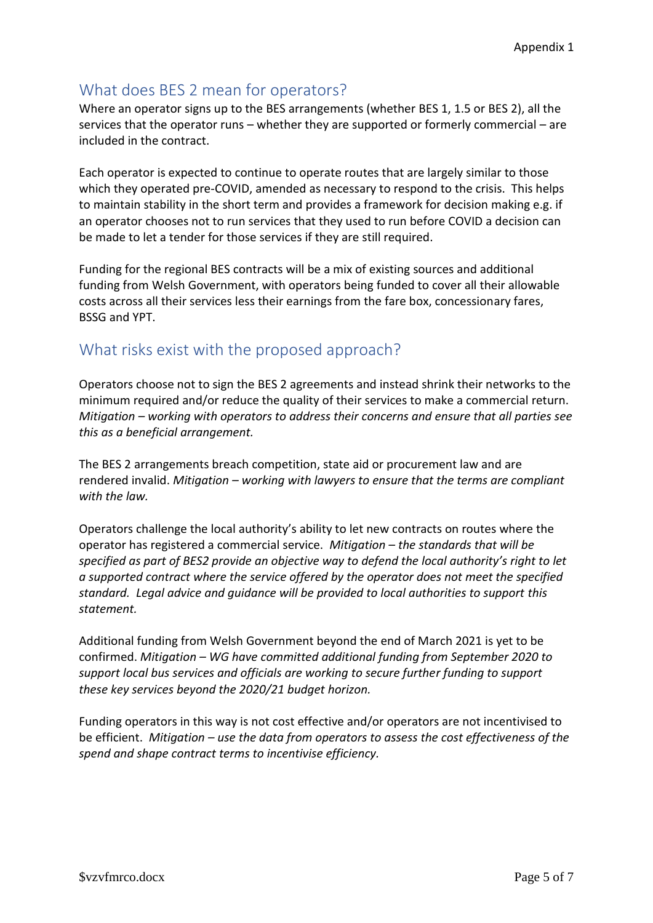## <span id="page-4-0"></span>What does BES 2 mean for operators?

Where an operator signs up to the BES arrangements (whether BES 1, 1.5 or BES 2), all the services that the operator runs – whether they are supported or formerly commercial – are included in the contract.

Each operator is expected to continue to operate routes that are largely similar to those which they operated pre-COVID, amended as necessary to respond to the crisis. This helps to maintain stability in the short term and provides a framework for decision making e.g. if an operator chooses not to run services that they used to run before COVID a decision can be made to let a tender for those services if they are still required.

Funding for the regional BES contracts will be a mix of existing sources and additional funding from Welsh Government, with operators being funded to cover all their allowable costs across all their services less their earnings from the fare box, concessionary fares, BSSG and YPT.

## <span id="page-4-1"></span>What risks exist with the proposed approach?

Operators choose not to sign the BES 2 agreements and instead shrink their networks to the minimum required and/or reduce the quality of their services to make a commercial return. *Mitigation – working with operators to address their concerns and ensure that all parties see this as a beneficial arrangement.* 

The BES 2 arrangements breach competition, state aid or procurement law and are rendered invalid. *Mitigation – working with lawyers to ensure that the terms are compliant with the law.*

Operators challenge the local authority's ability to let new contracts on routes where the operator has registered a commercial service. *Mitigation – the standards that will be specified as part of BES2 provide an objective way to defend the local authority's right to let a supported contract where the service offered by the operator does not meet the specified standard. Legal advice and guidance will be provided to local authorities to support this statement.* 

Additional funding from Welsh Government beyond the end of March 2021 is yet to be confirmed. *Mitigation – WG have committed additional funding from September 2020 to support local bus services and officials are working to secure further funding to support these key services beyond the 2020/21 budget horizon.* 

Funding operators in this way is not cost effective and/or operators are not incentivised to be efficient. *Mitigation – use the data from operators to assess the cost effectiveness of the spend and shape contract terms to incentivise efficiency.*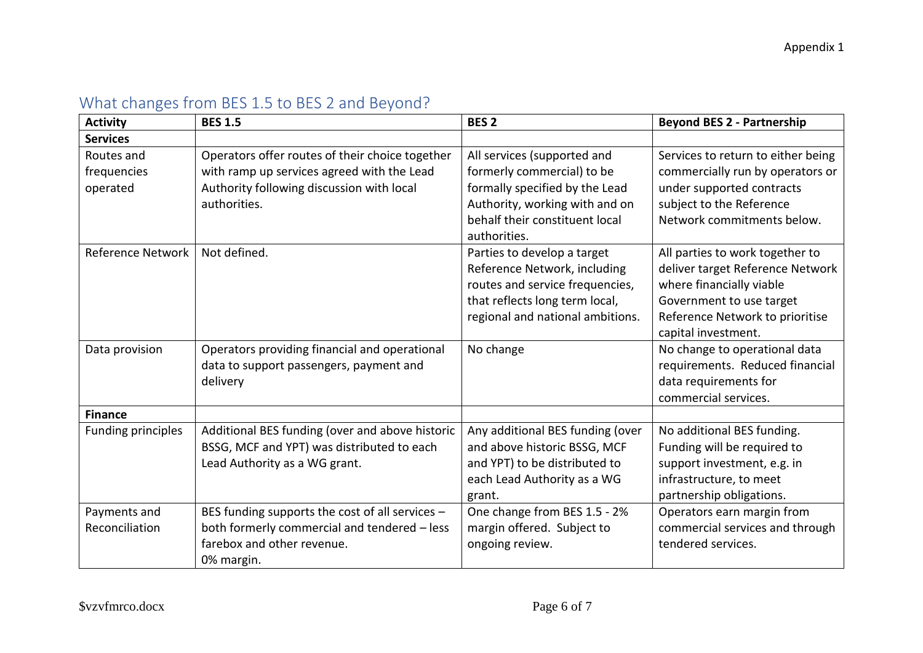<span id="page-5-0"></span>

| <b>Activity</b>                       | <b>BES 1.5</b>                                                                                                                                             | <b>BES 2</b>                                                                                                                                                                    | <b>Beyond BES 2 - Partnership</b>                                                                                                                                                     |
|---------------------------------------|------------------------------------------------------------------------------------------------------------------------------------------------------------|---------------------------------------------------------------------------------------------------------------------------------------------------------------------------------|---------------------------------------------------------------------------------------------------------------------------------------------------------------------------------------|
| <b>Services</b>                       |                                                                                                                                                            |                                                                                                                                                                                 |                                                                                                                                                                                       |
| Routes and<br>frequencies<br>operated | Operators offer routes of their choice together<br>with ramp up services agreed with the Lead<br>Authority following discussion with local<br>authorities. | All services (supported and<br>formerly commercial) to be<br>formally specified by the Lead<br>Authority, working with and on<br>behalf their constituent local<br>authorities. | Services to return to either being<br>commercially run by operators or<br>under supported contracts<br>subject to the Reference<br>Network commitments below.                         |
| Reference Network                     | Not defined.                                                                                                                                               | Parties to develop a target<br>Reference Network, including<br>routes and service frequencies,<br>that reflects long term local,<br>regional and national ambitions.            | All parties to work together to<br>deliver target Reference Network<br>where financially viable<br>Government to use target<br>Reference Network to prioritise<br>capital investment. |
| Data provision                        | Operators providing financial and operational<br>data to support passengers, payment and<br>delivery                                                       | No change                                                                                                                                                                       | No change to operational data<br>requirements. Reduced financial<br>data requirements for<br>commercial services.                                                                     |
| <b>Finance</b>                        |                                                                                                                                                            |                                                                                                                                                                                 |                                                                                                                                                                                       |
| Funding principles                    | Additional BES funding (over and above historic<br>BSSG, MCF and YPT) was distributed to each<br>Lead Authority as a WG grant.                             | Any additional BES funding (over<br>and above historic BSSG, MCF<br>and YPT) to be distributed to<br>each Lead Authority as a WG<br>grant.                                      | No additional BES funding.<br>Funding will be required to<br>support investment, e.g. in<br>infrastructure, to meet<br>partnership obligations.                                       |
| Payments and<br>Reconciliation        | BES funding supports the cost of all services -<br>both formerly commercial and tendered - less<br>farebox and other revenue.<br>0% margin.                | One change from BES 1.5 - 2%<br>margin offered. Subject to<br>ongoing review.                                                                                                   | Operators earn margin from<br>commercial services and through<br>tendered services.                                                                                                   |

# What changes from BES 1.5 to BES 2 and Beyond?